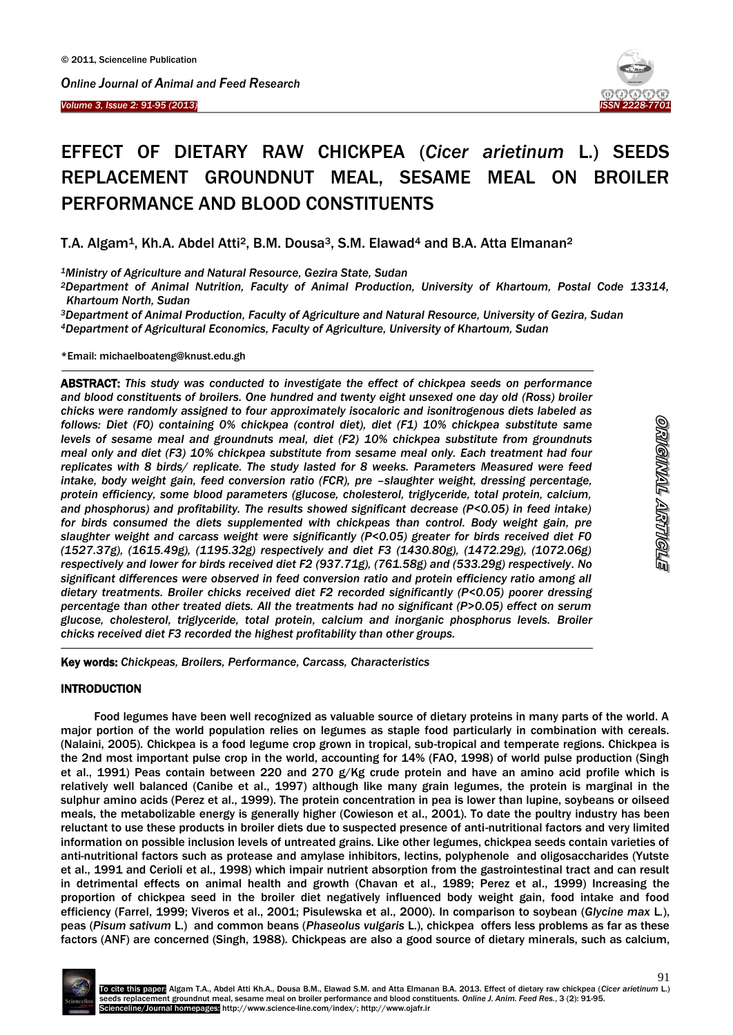#### *Volume 3, Issue 2: 91-95 (2013)*  Ĩ



# EFFECT OF DIETARY RAW CHICKPEA (*Cicer arietinum* L.) SEEDS REPLACEMENT GROUNDNUT MEAL, SESAME MEAL ON BROILER PERFORMANCE AND BLOOD CONSTITUENTS

T.A. Algam<sup>1</sup>, Kh.A. Abdel Atti<sup>2</sup>, B.M. Dousa<sup>3</sup>, S.M. Elawad<sup>4</sup> and B.A. Atta Elmanan<sup>2</sup>

*<sup>1</sup>Ministry of Agriculture and Natural Resource, Gezira State, Sudan*

*<sup>2</sup>Department of Animal Nutrition, Faculty of Animal Production, University of Khartoum, Postal Code 13314, Khartoum North, Sudan*

*<sup>3</sup>Department of Animal Production, Faculty of Agriculture and Natural Resource, University of Gezira, Sudan <sup>4</sup>Department of Agricultural Economics, Faculty of Agriculture, University of Khartoum, Sudan*

\*Email: michaelboateng@knust.edu.gh

 $\overline{\phantom{a}}$ 

ABSTRACT: *This study was conducted to investigate the effect of chickpea seeds on performance and blood constituents of broilers. One hundred and twenty eight unsexed one day old (Ross) broiler chicks were randomly assigned to four approximately isocaloric and isonitrogenous diets labeled as follows: Diet (F0) containing 0% chickpea (control diet), diet (F1) 10% chickpea substitute same levels of sesame meal and groundnuts meal, diet (F2) 10% chickpea substitute from groundnuts meal only and diet (F3) 10% chickpea substitute from sesame meal only. Each treatment had four replicates with 8 birds/ replicate. The study lasted for 8 weeks. Parameters Measured were feed intake, body weight gain, feed conversion ratio (FCR), pre -slaughter weight, dressing percentage, protein efficiency, some blood parameters (glucose, cholesterol, triglyceride, total protein, calcium, and phosphorus) and profitability. The results showed significant decrease (P<0.05) in feed intake)*  for birds consumed the diets supplemented with chickpeas than control. Body weight gain, pre *slaughter weight and carcass weight were significantly (P<0.05) greater for birds received diet F0 (1527.37g), (1615.49g), (1195.32g) respectively and diet F3 (1430.80g), (1472.29g), (1072.06g) respectively and lower for birds received diet F2 (937.71g), (761.58g) and (533.29g) respectively. No significant differences were observed in feed conversion ratio and protein efficiency ratio among all dietary treatments. Broiler chicks received diet F2 recorded significantly (P<0.05) poorer dressing percentage than other treated diets. All the treatments had no significant (P>0.05) effect on serum glucose, cholesterol, triglyceride, total protein, calcium and inorganic phosphorus levels. Broiler chicks received diet F3 recorded the highest profitability than other groups.*

Key words: *Chickpeas, Broilers, Performance, Carcass, Characteristics*

#### **INTRODUCTION**

 $\overline{a}$ 

Food legumes have been well recognized as valuable source of dietary proteins in many parts of the world. A major portion of the world population relies on legumes as staple food particularly in combination with cereals. (Nalaini, 2005). Chickpea is a food legume crop grown in tropical, sub-tropical and temperate regions. Chickpea is the 2nd most important pulse crop in the world, accounting for 14% (FAO, 1998) of world pulse production (Singh et al., 1991) Peas contain between 220 and 270 g/Kg crude protein and have an amino acid profile which is relatively well balanced (Canibe et al., 1997) although like many grain legumes, the protein is marginal in the sulphur amino acids (Perez et al., 1999). The protein concentration in pea is lower than lupine, soybeans or oilseed meals, the metabolizable energy is generally higher (Cowieson et al., 2001). To date the poultry industry has been reluctant to use these products in broiler diets due to suspected presence of anti-nutritional factors and very limited information on possible inclusion levels of untreated grains. Like other legumes, chickpea seeds contain varieties of anti-nutritional factors such as protease and amylase inhibitors, lectins, polyphenole and oligosaccharides (Yutste et al., 1991 and Cerioli et al., 1998) which impair nutrient absorption from the gastrointestinal tract and can result in detrimental effects on animal health and growth (Chavan et al., 1989; Perez et al., 1999) Increasing the proportion of chickpea seed in the broiler diet negatively influenced body weight gain, food intake and food efficiency (Farrel, 1999; Viveros et al., 2001; Pisulewska et al., 2000). In comparison to soybean (*Glycine max* L*.*), peas (*Pisum sativum* L.) and common beans (*Phaseolus vulgaris* L.), chickpea offers less problems as far as these factors (ANF) are concerned (Singh, 1988). Chickpeas are also a good source of dietary minerals, such as calcium,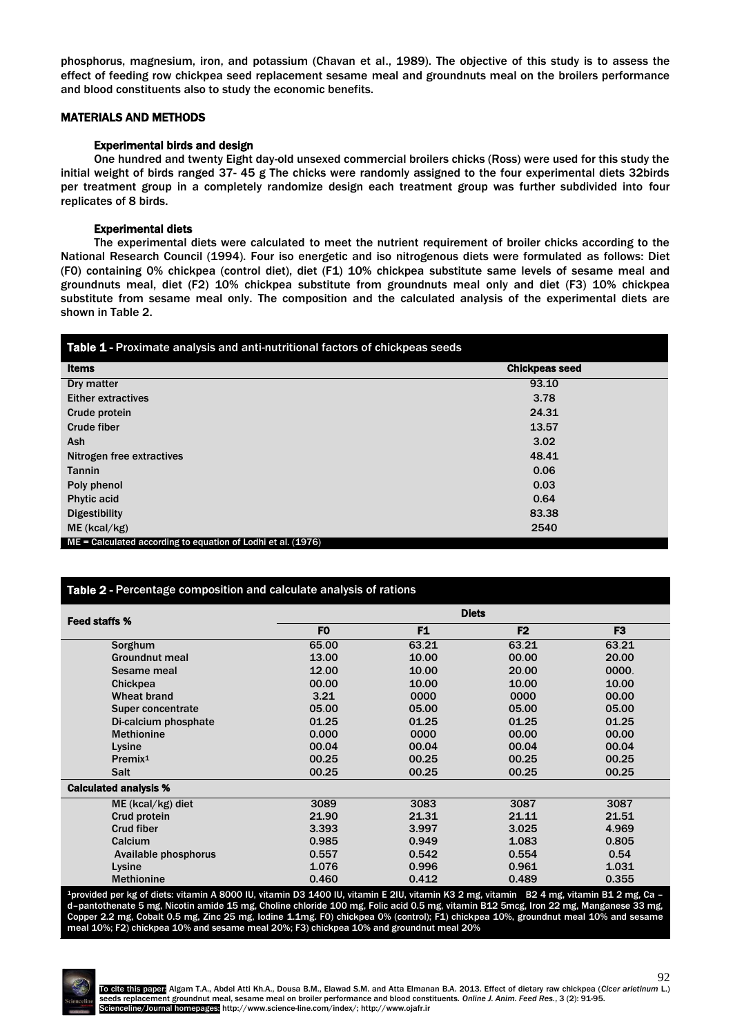phosphorus, magnesium, iron, and potassium (Chavan et al., 1989). The objective of this study is to assess the effect of feeding row chickpea seed replacement sesame meal and groundnuts meal on the broilers performance and blood constituents also to study the economic benefits.

# MATERIALS AND METHODS

# Experimental birds and design

One hundred and twenty Eight day-old unsexed commercial broilers chicks (Ross) were used for this study the initial weight of birds ranged 37- 45 g The chicks were randomly assigned to the four experimental diets 32birds per treatment group in a completely randomize design each treatment group was further subdivided into four replicates of 8 birds.

# Experimental diets

The experimental diets were calculated to meet the nutrient requirement of broiler chicks according to the National Research Council (1994). Four iso energetic and iso nitrogenous diets were formulated as follows: Diet (F0) containing 0% chickpea (control diet), diet (F1) 10% chickpea substitute same levels of sesame meal and groundnuts meal, diet (F2) 10% chickpea substitute from groundnuts meal only and diet (F3) 10% chickpea substitute from sesame meal only. The composition and the calculated analysis of the experimental diets are shown in Table 2.

| Table 1 - Proximate analysis and anti-nutritional factors of chickpeas seeds |                       |  |  |  |
|------------------------------------------------------------------------------|-----------------------|--|--|--|
| <b>Items</b>                                                                 | <b>Chickpeas seed</b> |  |  |  |
| Dry matter                                                                   | 93.10                 |  |  |  |
| <b>Either extractives</b>                                                    | 3.78                  |  |  |  |
| Crude protein                                                                | 24.31                 |  |  |  |
| Crude fiber                                                                  | 13.57                 |  |  |  |
| Ash                                                                          | 3.02                  |  |  |  |
| Nitrogen free extractives                                                    | 48.41                 |  |  |  |
| <b>Tannin</b>                                                                | 0.06                  |  |  |  |
| Poly phenol                                                                  | 0.03                  |  |  |  |
| <b>Phytic acid</b>                                                           | 0.64                  |  |  |  |
| <b>Digestibility</b>                                                         | 83.38                 |  |  |  |
| $ME$ (kcal/kg)                                                               | 2540                  |  |  |  |
| ME = Calculated according to equation of Lodhi et al. (1976)                 |                       |  |  |  |

# Table 2 - Percentage composition and calculate analysis of rations

| Feed staffs %                | <b>Diets</b>   |                |                |                |
|------------------------------|----------------|----------------|----------------|----------------|
|                              | F <sub>0</sub> | F <sub>1</sub> | F <sub>2</sub> | F <sub>3</sub> |
| Sorghum                      | 65.00          | 63.21          | 63.21          | 63.21          |
| <b>Groundnut meal</b>        | 13.00          | 10.00          | 00.00          | 20.00          |
| Sesame meal                  | 12.00          | 10.00          | 20.00          | 0000.          |
| Chickpea                     | 00.00          | 10.00          | 10.00          | 10.00          |
| Wheat brand                  | 3.21           | 0000           | 0000           | 00.00          |
| Super concentrate            | 05.00          | 05.00          | 05.00          | 05.00          |
| Di-calcium phosphate         | 01.25          | 01.25          | 01.25          | 01.25          |
| <b>Methionine</b>            | 0.000          | 0000           | 00.00          | 00.00          |
| Lysine                       | 00.04          | 00.04          | 00.04          | 00.04          |
| Premix <sup>1</sup>          | 00.25          | 00.25          | 00.25          | 00.25          |
| <b>Salt</b>                  | 00.25          | 00.25          | 00.25          | 00.25          |
| <b>Calculated analysis %</b> |                |                |                |                |
| $ME (kcal/kg)$ diet          | 3089           | 3083           | 3087           | 3087           |
| Crud protein                 | 21.90          | 21.31          | 21.11          | 21.51          |
| <b>Crud fiber</b>            | 3.393          | 3.997          | 3.025          | 4.969          |
| Calcium                      | 0.985          | 0.949          | 1.083          | 0.805          |
| Available phosphorus         | 0.557          | 0.542          | 0.554          | 0.54           |
| Lysine                       | 1.076          | 0.996          | 0.961          | 1.031          |
| <b>Methionine</b>            | 0.460          | 0.412          | 0.489          | 0.355          |

<sup>1</sup>provided per kg of diets: vitamin A 8000 IU, vitamin D3 1400 IU, vitamin E 2IU, vitamin K3 2 mg, vitamin B2 4 mg, vitamin B1 2 mg, Ca – d–pantothenate 5 mg, Nicotin amide 15 mg, Choline chloride 100 mg, Folic acid 0.5 mg, vitamin B12 5mcg, Iron 22 mg, Manganese 33 mg, Copper 2.2 mg, Cobalt 0.5 mg, Zinc 25 mg, Iodine 1.1mg. F0) chickpea 0% (control); F1) chickpea 10%, groundnut meal 10% and sesame meal 10%; F2) chickpea 10% and sesame meal 20%; F3) chickpea 10% and groundnut meal 20%

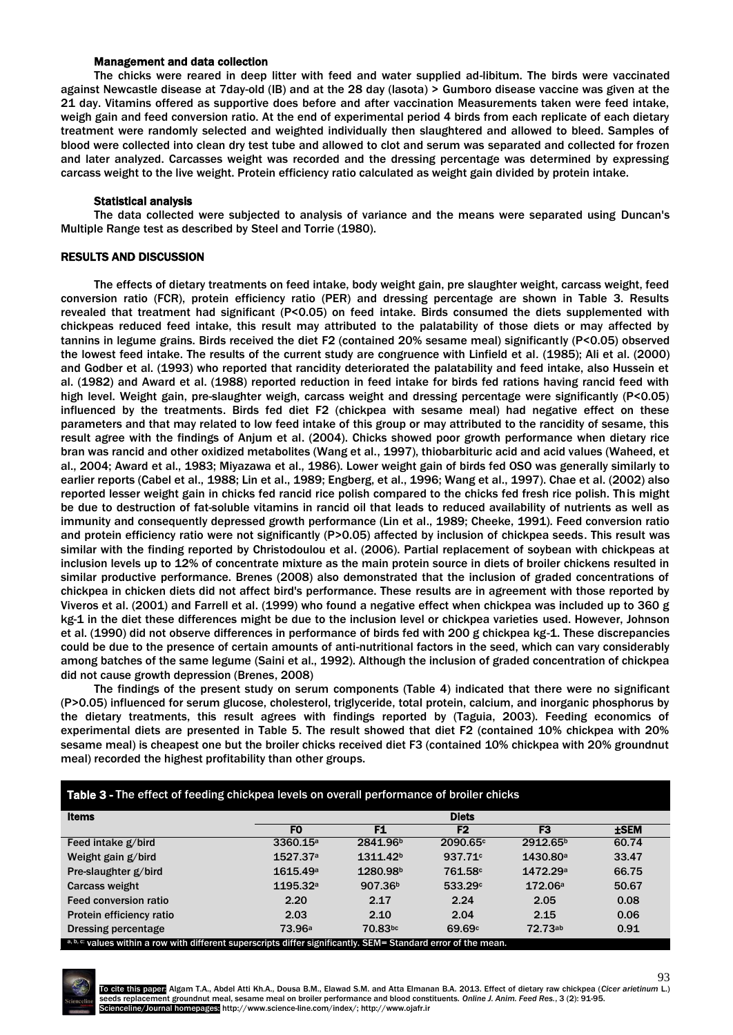#### Management and data collection

The chicks were reared in deep litter with feed and water supplied ad-libitum. The birds were vaccinated against Newcastle disease at 7day-old (IB) and at the 28 day (lasota) > Gumboro disease vaccine was given at the 21 day. Vitamins offered as supportive does before and after vaccination Measurements taken were feed intake, weigh gain and feed conversion ratio. At the end of experimental period 4 birds from each replicate of each dietary treatment were randomly selected and weighted individually then slaughtered and allowed to bleed. Samples of blood were collected into clean dry test tube and allowed to clot and serum was separated and collected for frozen and later analyzed. Carcasses weight was recorded and the dressing percentage was determined by expressing carcass weight to the live weight. Protein efficiency ratio calculated as weight gain divided by protein intake.

### Statistical analysis

The data collected were subjected to analysis of variance and the means were separated using Duncan's Multiple Range test as described by Steel and Torrie (1980).

# RESULTS AND DISCUSSION

The effects of dietary treatments on feed intake, body weight gain, pre slaughter weight, carcass weight, feed conversion ratio (FCR), protein efficiency ratio (PER) and dressing percentage are shown in Table 3. Results revealed that treatment had significant (P<0.05) on feed intake. Birds consumed the diets supplemented with chickpeas reduced feed intake, this result may attributed to the palatability of those diets or may affected by tannins in legume grains. Birds received the diet F2 (contained 20% sesame meal) significantly (P<0.05) observed the lowest feed intake. The results of the current study are congruence with Linfield et al*.* (1985); Ali et al. (2000) and Godber et al. (1993) who reported that rancidity deteriorated the palatability and feed intake, also Hussein et al. (1982) and Award et al. (1988) reported reduction in feed intake for birds fed rations having rancid feed with high level. Weight gain, pre-slaughter weigh, carcass weight and dressing percentage were significantly (P<0.05) influenced by the treatments. Birds fed diet F2 (chickpea with sesame meal) had negative effect on these parameters and that may related to low feed intake of this group or may attributed to the rancidity of sesame, this result agree with the findings of Anjum et al. (2004). Chicks showed poor growth performance when dietary rice bran was rancid and other oxidized metabolites (Wang et al., 1997), thiobarbituric acid and acid values (Waheed, et al., 2004; Award et al., 1983; Miyazawa et al., 1986). Lower weight gain of birds fed OSO was generally similarly to earlier reports (Cabel et al., 1988; Lin et al., 1989; Engberg, et al., 1996; Wang et al., 1997). Chae et al. (2002) also reported lesser weight gain in chicks fed rancid rice polish compared to the chicks fed fresh rice polish. This might be due to destruction of fat-soluble vitamins in rancid oil that leads to reduced availability of nutrients as well as immunity and consequently depressed growth performance (Lin et al., 1989; Cheeke, 1991). Feed conversion ratio and protein efficiency ratio were not significantly (P>0.05) affected by inclusion of chickpea seeds. This result was similar with the finding reported by Christodoulou et al. (2006). Partial replacement of soybean with chickpeas at inclusion levels up to 12% of concentrate mixture as the main protein source in diets of broiler chickens resulted in similar productive performance. Brenes (2008) also demonstrated that the inclusion of graded concentrations of chickpea in chicken diets did not affect bird's performance. These results are in agreement with those reported by Viveros et al. (2001) and Farrell et al. (1999) who found a negative effect when chickpea was included up to 360 g kg-1 in the diet these differences might be due to the inclusion level or chickpea varieties used. However, Johnson et al. (1990) did not observe differences in performance of birds fed with 200 g chickpea kg-1. These discrepancies could be due to the presence of certain amounts of anti-nutritional factors in the seed, which can vary considerably among batches of the same legume (Saini et al., 1992). Although the inclusion of graded concentration of chickpea did not cause growth depression (Brenes, 2008)

The findings of the present study on serum components (Table 4) indicated that there were no significant (P>0.05) influenced for serum glucose, cholesterol, triglyceride, total protein, calcium, and inorganic phosphorus by the dietary treatments, this result agrees with findings reported by (Taguia, 2003). Feeding economics of experimental diets are presented in Table 5. The result showed that diet F2 (contained 10% chickpea with 20% sesame meal) is cheapest one but the broiler chicks received diet F3 (contained 10% chickpea with 20% groundnut meal) recorded the highest profitability than other groups.

| Table 3 - The effect of feeding chickpea levels on overall performance of broiler chicks                        |                      |                      |                     |                      |         |
|-----------------------------------------------------------------------------------------------------------------|----------------------|----------------------|---------------------|----------------------|---------|
| <b>Items</b>                                                                                                    | <b>Diets</b>         |                      |                     |                      |         |
|                                                                                                                 | F <sub>0</sub>       | F1                   | F <sub>2</sub>      | F3                   | $±$ SEM |
| Feed intake g/bird                                                                                              | 3360.15 <sup>a</sup> | 2841.96 <sup>b</sup> | 2090.65c            | 2912.65 <sup>b</sup> | 60.74   |
| Weight gain g/bird                                                                                              | 1527.37 <sup>a</sup> | 1311.42 <sup>b</sup> | 937.71 <sup>c</sup> | 1430.80 <sup>a</sup> | 33.47   |
| Pre-slaughter g/bird                                                                                            | 1615.49 <sup>a</sup> | 1280.98b             | 761.58c             | 1472.29a             | 66.75   |
| Carcass weight                                                                                                  | 1195.32a             | 907.36 <sup>b</sup>  | 533.29 <sup>c</sup> | 172.06a              | 50.67   |
| Feed conversion ratio                                                                                           | 2.20                 | 2.17                 | 2.24                | 2.05                 | 0.08    |
| Protein efficiency ratio                                                                                        | 2.03                 | 2.10                 | 2.04                | 2.15                 | 0.06    |
| Dressing percentage                                                                                             | 73.96 <sup>a</sup>   | 70.83bc              | 69.69c              | 72.73ab              | 0.91    |
| a, b, c: values within a row with different superscripts differ significantly. SEM= Standard error of the mean. |                      |                      |                     |                      |         |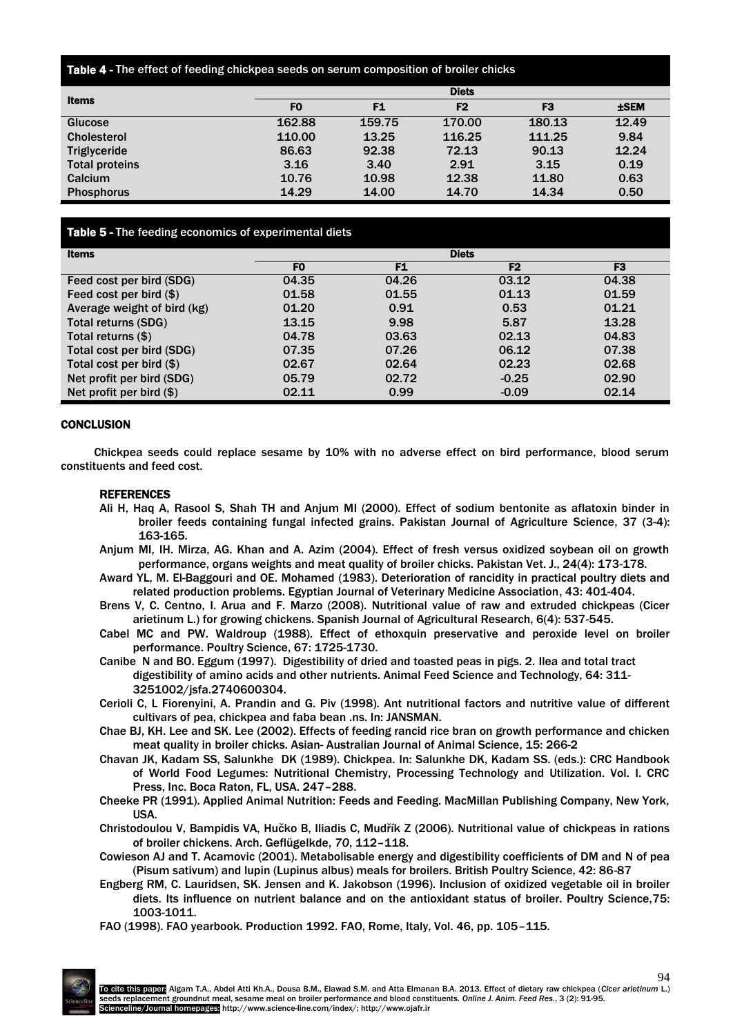#### Table 4 - The effect of feeding chickpea seeds on serum composition of broiler chicks

| <b>Items</b>          | <b>Diets</b>   |        |                |                |         |
|-----------------------|----------------|--------|----------------|----------------|---------|
|                       | F <sub>0</sub> | F1     | F <sub>2</sub> | F <sub>3</sub> | $±$ SEM |
| Glucose               | 162.88         | 159.75 | 170.00         | 180.13         | 12.49   |
| <b>Cholesterol</b>    | 110.00         | 13.25  | 116.25         | 111.25         | 9.84    |
| <b>Triglyceride</b>   | 86.63          | 92.38  | 72.13          | 90.13          | 12.24   |
| <b>Total proteins</b> | 3.16           | 3.40   | 2.91           | 3.15           | 0.19    |
| Calcium               | 10.76          | 10.98  | 12.38          | 11.80          | 0.63    |
| <b>Phosphorus</b>     | 14.29          | 14.00  | 14.70          | 14.34          | 0.50    |

# Table 5 - The feeding economics of experimental diets

| <b>Items</b>                | <b>Diets</b>   |                |                |                |
|-----------------------------|----------------|----------------|----------------|----------------|
|                             | F <sub>0</sub> | F <sub>1</sub> | F <sub>2</sub> | F <sub>3</sub> |
| Feed cost per bird (SDG)    | 04.35          | 04.26          | 03.12          | 04.38          |
| Feed cost per bird $(\$)$   | 01.58          | 01.55          | 01.13          | 01.59          |
| Average weight of bird (kg) | 01.20          | 0.91           | 0.53           | 01.21          |
| Total returns (SDG)         | 13.15          | 9.98           | 5.87           | 13.28          |
| Total returns $(\$)$        | 04.78          | 03.63          | 02.13          | 04.83          |
| Total cost per bird (SDG)   | 07.35          | 07.26          | 06.12          | 07.38          |
| Total cost per bird $(\$)$  | 02.67          | 02.64          | 02.23          | 02.68          |
| Net profit per bird (SDG)   | 05.79          | 02.72          | $-0.25$        | 02.90          |
| Net profit per bird $(\$)$  | 02.11          | 0.99           | $-0.09$        | 02.14          |

# **CONCLUSION**

Chickpea seeds could replace sesame by 10% with no adverse effect on bird performance, blood serum constituents and feed cost.

#### REFERENCES

- Ali H, Haq A, Rasool S, Shah TH and Anjum MI (2000). Effect of sodium bentonite as aflatoxin binder in broiler feeds containing fungal infected grains. Pakistan Journal of Agriculture Science, 37 (3-4): 163-165.
- Anjum MI, IH. Mirza, AG. Khan and A. Azim (2004). Effect of fresh versus oxidized soybean oil on growth performance, organs weights and meat quality of broiler chicks. Pakistan Vet. J., 24(4): 173-178.
- Award YL, M. El-Baggouri and OE. Mohamed (1983). Deterioration of rancidity in practical poultry diets and related production problems. Egyptian Journal of Veterinary Medicine Association, 43: 401-404.
- Brens V, C. Centno, I. Arua and F. Marzo (2008). Nutritional value of raw and extruded chickpeas (Cicer arietinum L.) for growing chickens. Spanish Journal of Agricultural Research, 6(4): 537-545.
- Cabel MC and PW. Waldroup (1988). Effect of ethoxquin preservative and peroxide level on broiler performance. Poultry Science, 67: 1725-1730.
- Canibe N and BO. Eggum (1997). Digestibility of dried and toasted peas in pigs. 2. Ilea and total tract digestibility of amino acids and other nutrients. Animal Feed Science and Technology, 64: 311- 3251002/jsfa.2740600304.
- Cerioli C, L Fiorenyini, A. Prandin and G. Piv (1998). Ant nutritional factors and nutritive value of different cultivars of pea, chickpea and faba bean .ns. In: JANSMAN.
- Chae BJ, KH. Lee and SK. Lee (2002). Effects of feeding rancid rice bran on growth performance and chicken meat quality in broiler chicks. Asian- Australian Journal of Animal Science, 15: 266-2
- Chavan JK, Kadam SS, Salunkhe DK (1989). Chickpea. In: Salunkhe DK, Kadam SS. (eds.): CRC Handbook of World Food Legumes: Nutritional Chemistry, Processing Technology and Utilization. Vol. I. CRC Press, Inc. Boca Raton, FL, USA. 247–288.
- Cheeke PR (1991). Applied Animal Nutrition: Feeds and Feeding. MacMillan Publishing Company, New York, USA.

Christodoulou V, Bampidis VA, Hučko B, Iliadis C, Mudřík Z (2006). Nutritional value of chickpeas in rations of broiler chickens. Arch. Geflügelkde, *70*, 112–118.

- Cowieson AJ and T. Acamovic (2001). Metabolisable energy and digestibility coefficients of DM and N of pea (Pisum sativum) and lupin (Lupinus albus) meals for broilers. British Poultry Science, 42: 86-87
- Engberg RM, C. Lauridsen, SK. Jensen and K. Jakobson (1996). Inclusion of oxidized vegetable oil in broiler diets. Its influence on nutrient balance and on the antioxidant status of broiler. Poultry Science,75: 1003-1011.
- FAO (1998). FAO yearbook. Production 1992. FAO, Rome, Italy, Vol. 46, pp. 105–115.